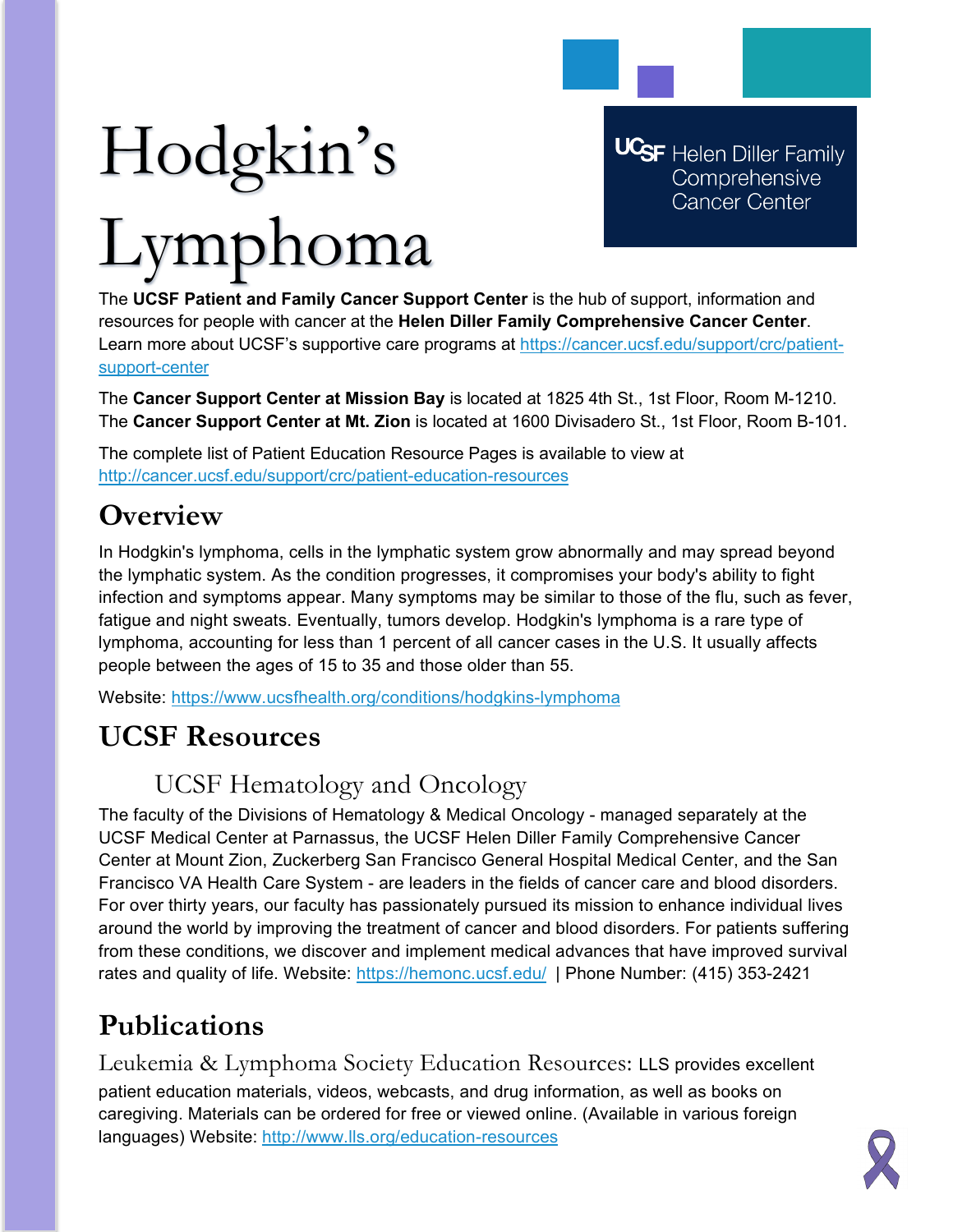# Hodgkin's Lymphoma

**UCSF** Helen Diller Family Comprehensive **Cancer Center** 

The **UCSF Patient and Family Cancer Support Center** is the hub of support, information and resources for people with cancer at the **Helen Diller Family Comprehensive Cancer Center**. Learn more about UCSF's supportive care programs at [https://cancer.ucsf.edu/support/crc/patient](https://cancer.ucsf.edu/support/crc/patient-support-center)[support-center](https://cancer.ucsf.edu/support/crc/patient-support-center)

The **Cancer Support Center at Mission Bay** is located at 1825 4th St., 1st Floor, Room M-1210. The **Cancer Support Center at Mt. Zion** is located at 1600 Divisadero St., 1st Floor, Room B-101.

The complete list of Patient Education Resource Pages is available to view at <http://cancer.ucsf.edu/support/crc/patient-education-resources>

## **Overview**

In Hodgkin's lymphoma, cells in the lymphatic system grow abnormally and may spread beyond the lymphatic system. As the condition progresses, it compromises your body's ability to fight infection and symptoms appear. Many symptoms may be similar to those of the flu, such as fever, fatigue and night sweats. Eventually, tumors develop. Hodgkin's lymphoma is a rare type of lymphoma, accounting for less than 1 percent of all cancer cases in the U.S. It usually affects people between the ages of 15 to 35 and those older than 55.

Website:<https://www.ucsfhealth.org/conditions/hodgkins-lymphoma>

## **UCSF Resources**

### UCSF Hematology and Oncology

The faculty of the Divisions of Hematology & Medical Oncology - managed separately at the UCSF Medical Center at Parnassus, the UCSF Helen Diller Family Comprehensive Cancer Center at Mount Zion, Zuckerberg San Francisco General Hospital Medical Center, and the San Francisco VA Health Care System - are leaders in the fields of cancer care and blood disorders. For over thirty years, our faculty has passionately pursued its mission to enhance individual lives around the world by improving the treatment of cancer and blood disorders. For patients suffering from these conditions, we discover and implement medical advances that have improved survival rates and quality of life. Website:<https://hemonc.ucsf.edu/>| Phone Number: (415) 353-2421

# **Publications**

Leukemia & Lymphoma Society Education Resources: LLS provides excellent patient education materials, videos, webcasts, and drug information, as well as books on caregiving. Materials can be ordered for free or viewed online. (Available in various foreign languages) Website: <http://www.lls.org/education-resources>

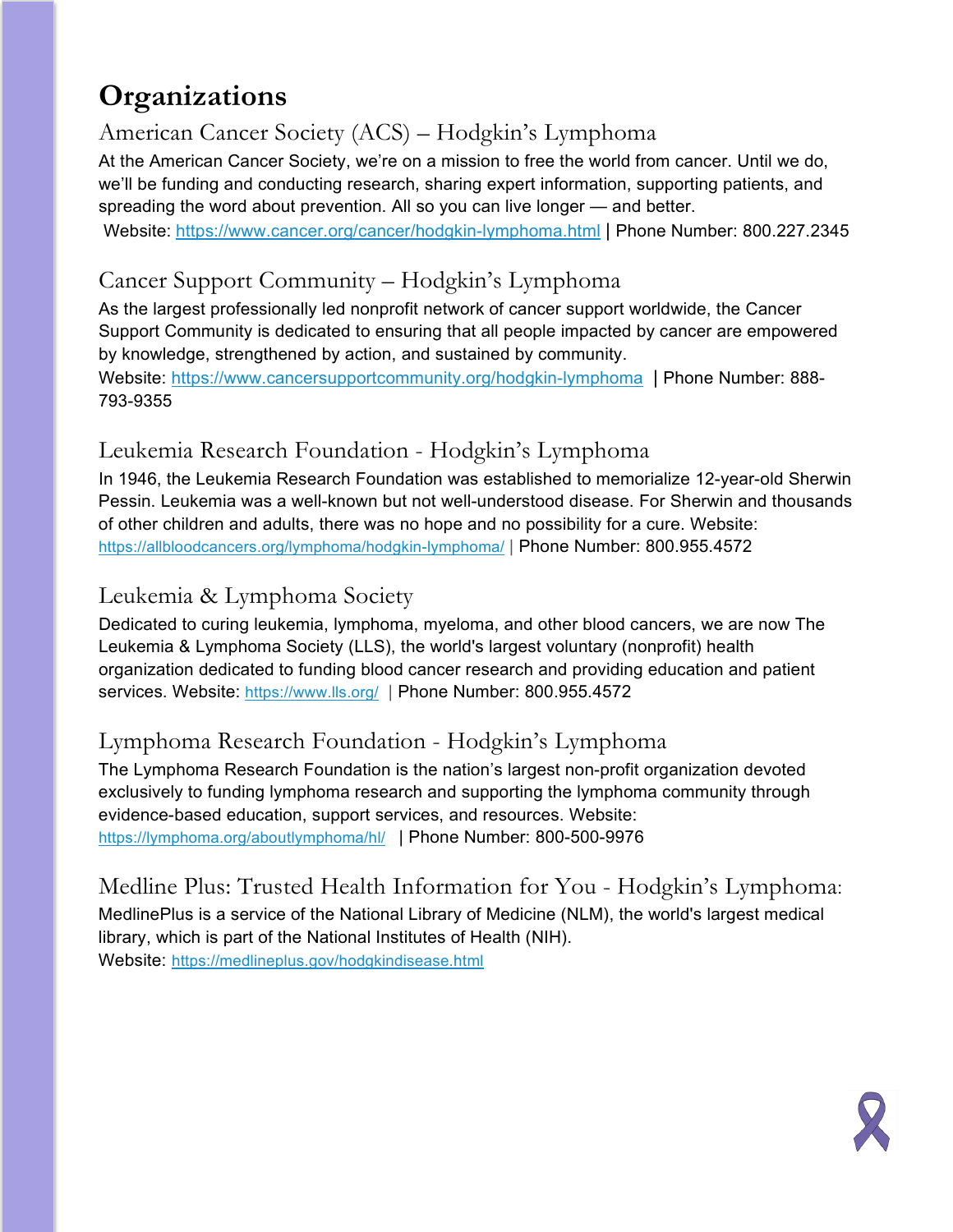## **Organizations**

#### American Cancer Society (ACS) – Hodgkin's Lymphoma

At the American Cancer Society, we're on a mission to free the world from cancer. Until we do, we'll be funding and conducting research, sharing expert information, supporting patients, and spreading the word about prevention. All so you can live longer — and better. Website: <https://www.cancer.org/cancer/hodgkin-lymphoma.html> | Phone Number: 800.227.2345

#### Cancer Support Community – Hodgkin's Lymphoma

As the largest professionally led nonprofit network of cancer support worldwide, the Cancer Support Community is dedicated to ensuring that all people impacted by cancer are empowered by knowledge, strengthened by action, and sustained by community. Website:<https://www.cancersupportcommunity.org/hodgkin-lymphoma> | Phone Number: 888- 793-9355

#### Leukemia Research Foundation - Hodgkin's Lymphoma

In 1946, the Leukemia Research Foundation was established to memorialize 12-year-old Sherwin Pessin. Leukemia was a well-known but not well-understood disease. For Sherwin and thousands of other children and adults, there was no hope and no possibility for a cure. Website: <https://allbloodcancers.org/lymphoma/hodgkin-lymphoma/> | Phone Number: 800.955.4572

#### Leukemia & Lymphoma Society

Dedicated to curing leukemia, lymphoma, myeloma, and other blood cancers, we are now The Leukemia & Lymphoma Society (LLS), the world's largest voluntary (nonprofit) health organization dedicated to funding blood cancer research and providing education and patient services. Website:<https://www.lls.org/> | Phone Number: 800.955.4572

#### Lymphoma Research Foundation - Hodgkin's Lymphoma

The Lymphoma Research Foundation is the nation's largest non-profit organization devoted exclusively to funding lymphoma research and supporting the lymphoma community through evidence-based education, support services, and resources. Website: <https://lymphoma.org/aboutlymphoma/hl/> | Phone Number: 800-500-9976

Medline Plus: Trusted Health Information for You - Hodgkin's Lymphoma: MedlinePlus is a service of the National Library of Medicine (NLM), the world's largest medical library, which is part of the National Institutes of Health (NIH). Website: <https://medlineplus.gov/hodgkindisease.html>